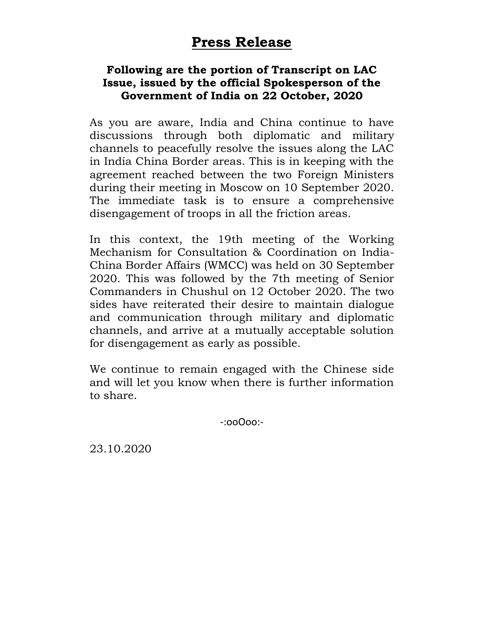## **Press Release**

## **Following are the portion of Transcript on LAC Issue, issued by the official Spokesperson of the Government of India on 22 October, 2020**

As you are aware, India and China continue to have discussions through both diplomatic and military channels to peacefully resolve the issues along the LAC in India China Border areas. This is in keeping with the agreement reached between the two Foreign Ministers during their meeting in Moscow on 10 September 2020. The immediate task is to ensure a comprehensive disengagement of troops in all the friction areas.

In this context, the 19th meeting of the Working Mechanism for Consultation & Coordination on India-China Border Affairs (WMCC) was held on 30 September 2020. This was followed by the 7th meeting of Senior Commanders in Chushul on 12 October 2020. The two sides have reiterated their desire to maintain dialogue and communication through military and diplomatic channels, and arrive at a mutually acceptable solution for disengagement as early as possible.

We continue to remain engaged with the Chinese side and will let you know when there is further information to share.

-:ooOoo:-

23.10.2020